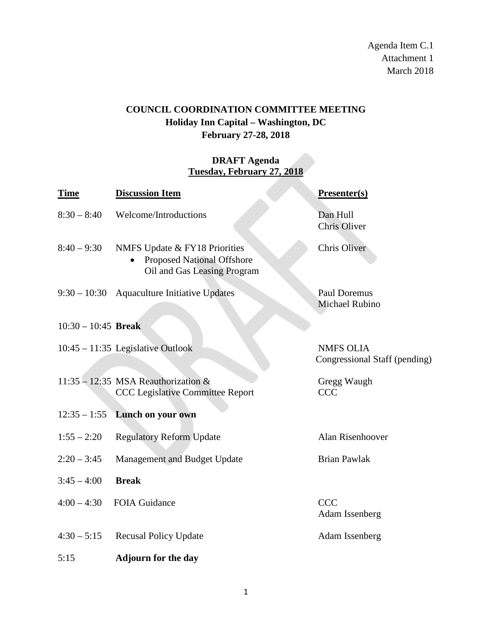Agenda Item C.1 Attachment 1 March 2018

## **COUNCIL COORDINATION COMMITTEE MEETING Holiday Inn Capital – Washington, DC February 27-28, 2018**

## **DRAFT Agenda Tuesday, February 27, 2018**

| <b>Time</b>           | <b>Discussion Item</b>                                                                            | Presenter(s)                                      |
|-----------------------|---------------------------------------------------------------------------------------------------|---------------------------------------------------|
| $8:30 - 8:40$         | Welcome/Introductions                                                                             | Dan Hull<br><b>Chris Oliver</b>                   |
| $8:40 - 9:30$         | NMFS Update & FY18 Priorities<br><b>Proposed National Offshore</b><br>Oil and Gas Leasing Program | Chris Oliver                                      |
|                       | $9:30 - 10:30$ Aquaculture Initiative Updates                                                     | <b>Paul Doremus</b><br>Michael Rubino             |
| $10:30 - 10:45$ Break |                                                                                                   |                                                   |
|                       | $10:45 - 11:35$ Legislative Outlook                                                               | <b>NMFS OLIA</b><br>Congressional Staff (pending) |
|                       | 11:35 - 12:35 MSA Reauthorization $&$<br><b>CCC Legislative Committee Report</b>                  | Gregg Waugh<br><b>CCC</b>                         |
| $12:35 - 1:55$        | Lunch on your own                                                                                 |                                                   |
| $1:55 - 2:20$         | <b>Regulatory Reform Update</b>                                                                   | Alan Risenhoover                                  |
| $2:20 - 3:45$         | Management and Budget Update                                                                      | <b>Brian Pawlak</b>                               |
| $3:45 - 4:00$         | <b>Break</b>                                                                                      |                                                   |
| $4:00 - 4:30$         | <b>FOIA Guidance</b>                                                                              | <b>CCC</b><br>Adam Issenberg                      |
| $4:30 - 5:15$         | <b>Recusal Policy Update</b>                                                                      | Adam Issenberg                                    |
| 5:15                  | <b>Adjourn for the day</b>                                                                        |                                                   |